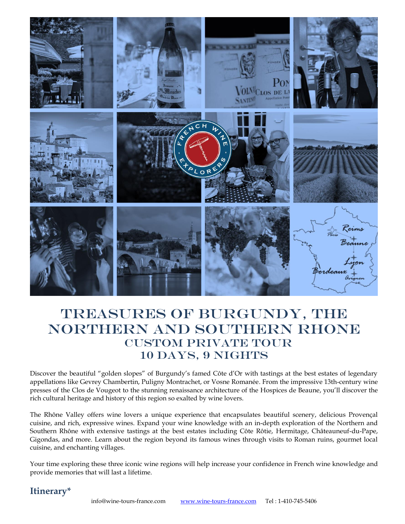

# TREASURES OF BURGUNDY, THE Northern and Southern Rhone CUSTOM PRIVATE TOUR 10 Days, 9 Nights

Discover the beautiful "golden slopes" of Burgundy's famed Côte d'Or with tastings at the best estates of legendary appellations like Gevrey Chambertin, Puligny Montrachet, or Vosne Romanée. From the impressive 13th-century wine presses of the Clos de Vougeot to the stunning renaissance architecture of the Hospices de Beaune, you'll discover the rich cultural heritage and history of this region so exalted by wine lovers.

The Rhône Valley offers wine lovers a unique experience that encapsulates beautiful scenery, delicious Provençal cuisine, and rich, expressive wines. Expand your wine knowledge with an in-depth exploration of the Northern and Southern Rhône with extensive tastings at the best estates including Côte Rôtie, Hermitage, Châteauneuf-du-Pape, Gigondas, and more. Learn about the region beyond its famous wines through visits to Roman ruins, gourmet local cuisine, and enchanting villages.

Your time exploring these three iconic wine regions will help increase your confidence in French wine knowledge and provide memories that will last a lifetime.

# **Itinerary\***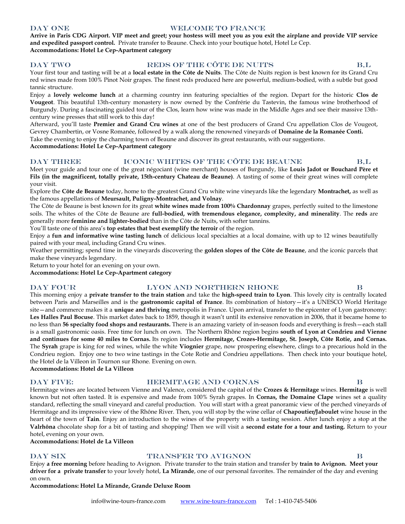# DAY ONE WELCOME TO FRANCE

**Arrive in Paris CDG Airport. VIP meet and greet; your hostess will meet you as you exit the airplane and provide VIP service and expedited passport control.** Private transfer to Beaune. Check into your boutique hotel, Hotel Le Cep. **Accommodations: Hotel Le Cep-Apartment category** 

# DAY TWO REDS OF THE CÔTE DE NUITS B,L

Your first tour and tasting will be at a **local estate in the Côte de Nuits**. The Côte de Nuits region is best known for its Grand Cru red wines made from 100% Pinot Noir grapes. The finest reds produced here are powerful, medium-bodied, with a subtle but good tannic structure.

Enjoy a **lovely welcome lunch** at a charming country inn featuring specialties of the region. Depart for the historic **Clos de Vougeot**. This beautiful 13th-century monastery is now owned by the Confrérie du Tastevin, the famous wine brotherhood of Burgundy. During a fascinating guided tour of the Clos, learn how wine was made in the Middle Ages and see their massive 13thcentury wine presses that still work to this day!

Afterward, you'll taste **Premier and Grand Cru wines** at one of the best producers of Grand Cru appellation Clos de Vougeot, Gevrey Chambertin, or Vosne Romanée, followed by a walk along the renowned vineyards of **Domaine de la Romanée Conti.** Take the evening to enjoy the charming town of Beaune and discover its great restaurants, with our suggestions.

**Accommodations: Hotel Le Cep-Apartment category** 

# DAY THREE ICONIC WHITES OF THE CÔTE DE BEAUNE B,L

Meet your guide and tour one of the great négociant (wine merchant) houses of Burgundy, like **Louis Jadot or Bouchard Père et Fils (in the magnificent, totally private, 15th-century Chateau de Beaune)**. A tasting of some of their great wines will complete your visit.

Explore the **Côte de Beaune** today, home to the greatest Grand Cru white wine vineyards like the legendary **Montrachet,** as well as the famous appellations of **Meursault, Puligny-Montrachet, and Volnay**.

The Côte de Beaune is best known for its great **white wines made from 100% Chardonnay** grapes, perfectly suited to the limestone soils. The whites of the Côte de Beaune are **full-bodied, with tremendous elegance, complexity, and minerality**. The **reds** are generally more **feminine and lighter-bodied** than in the Côte de Nuits, with softer tannins.

You'll taste one of this area's **top estates that best exemplify the terroir** of the region.

Enjoy a **fun and informative wine tasting lunch** of delicious local specialties at a local domaine, with up to 12 wines beautifully paired with your meal, including Grand Cru wines.

Weather permitting; spend time in the vineyards discovering the **golden slopes of the Côte de Beaune**, and the iconic parcels that make these vineyards legendary.

Return to your hotel for an evening on your own.

**Accommodations: Hotel Le Cep-Apartment category** 

# DAY FOUR THE LYON AND NORTHERN RHONE B

This morning enjoy a **private transfer to the train station** and take the **high-speed train to Lyon**. This lovely city is centrally located between Paris and Marseilles and is the **gastronomic capital of France**. Its combination of history—it's a UNESCO World Heritage site—and commerce makes it a **unique and thriving** metropolis in France. Upon arrival, transfer to the epicenter of Lyon gastronomy: **Les Halles Paul Bocuse**. This market dates back to 1859, though it wasn't until its extensive renovation in 2006, that it became home to no less than **56 specialty food shops and restaurants.** There is an amazing variety of in-season foods and everything is fresh—each stall is a small gastronomic oasis. Free time for lunch on own. The Northern Rhône region begins **south of Lyon at Condrieu and Vienne and continues for some 40 miles to Cornas.** Its region includes **Hermitage, Crozes-Hermitage, St. Joseph, Côte Rotie, and Cornas.** The **Syrah** grape is king for red wines, while the white **Viognier** grape, now prospering elsewhere, clings to a precarious hold in the Condrieu region. Enjoy one to two wine tastings in the Cote Rotie and Condrieu appellations. Then check into your boutique hotel, the Hotel de la Villeon in Tournon sur Rhone. Evening on own.

**Accommodations: Hotel de La Villeon**

# DAY FIVE: HERMITAGE AND CORNAS B

Hermitage wines are located between Vienne and Valence, considered the capital of the **Crozes & Hermitage** wines. **Hermitage** is well known but not often tasted. It is expensive and made from 100% Syrah grapes. In **Cornas, the Domaine Clape** wines set a quality standard, reflecting the small vineyard and careful production. You will start with a great panoramic view of the perched vineyards of Hermitage and its impressive view of the Rhône River. Then, you will stop by the wine cellar of **Chapoutier/Jaboulet** wine house in the heart of the town of **Tain**. Enjoy an introduction to the wines of the property with a tasting session. After lunch enjoy a stop at the **Valrhôna** chocolate shop for a bit of tasting and shopping! Then we will visit a **second estate for a tour and tasting.** Return to your hotel, evening on your own.

**Accommodations: Hotel de La Villeon** 

# DAY SIX TRANSFER TO AVIGNON B

Enjoy **a free morning** before heading to Avignon. Private transfer to the train station and transfer by **train to Avignon. Meet your driver for a private transfer** to your lovely hotel, **La Mirande**, one of our personal favorites. The remainder of the day and evening on own.

# **Accommodations: Hotel La Mirande, Grande Deluxe Room**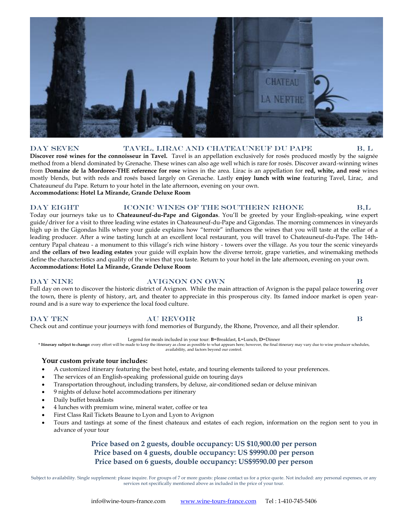# **CHATEAU**

# DAY SEVEN TAVEL, LIRAC AND CHATEAUNEUF DU PAPE B, L **Discover rosé wines for the connoisseur in Tavel.** Tavel is an appellation exclusively for rosés produced mostly by the saignée

method from a blend dominated by Grenache. These wines can also age well which is rare for rosés. Discover award-winning wines from **Domaine de la Mordoree-THE reference for rose** wines in the area. Lirac is an appellation for **red, white, and rosé** wines mostly blends, but with reds and rosés based largely on Grenache. Lastly **enjoy lunch with wine** featuring Tavel, Lirac, and Chateauneuf du Pape. Return to your hotel in the late afternoon, evening on your own. **Accommodations: Hotel La Mirande, Grande Deluxe Room**

# Day Eight Iconic Wines of The Southern Rhone B,L

Today our journeys take us to **Chateauneuf-du-Pape and Gigondas**. You'll be greeted by your English-speaking, wine expert guide/driver for a visit to three leading wine estates in Chateauneuf-du-Pape and Gigondas. The morning commences in vineyards high up in the Gigondas hills where your guide explains how "terroir" influences the wines that you will taste at the cellar of a leading producer. After a wine tasting lunch at an excellent local restaurant, you will travel to Chateauneuf-du-Pape. The 14thcentury Papal chateau - a monument to this village's rich wine history - towers over the village. As you tour the scenic vineyards and **the cellars of two leading estates** your guide will explain how the diverse terroir, grape varieties, and winemaking methods define the characteristics and quality of the wines that you taste. Return to your hotel in the late afternoon, evening on your own. **Accommodations: Hotel La Mirande, Grande Deluxe Room**

# Day Nine Avignon on own B

Full day on own to discover the historic district of Avignon. While the main attraction of Avignon is the papal palace towering over the town, there is plenty of history, art, and theater to appreciate in this prosperous city. Its famed indoor market is open yearround and is a sure way to experience the local food culture.

DAY TEN AU REVOIR B Check out and continue your journeys with fond memories of Burgundy, the Rhone, Provence, and all their splendor.

Legend for meals included in your tour: **B**=Breakfast, **L**=Lunch, **D**=Dinner

**\* Itinerary subject to change:** every effort will be made to keep the itinerary as close as possible to what appears here; however, the final itinerary may vary due to wine producer schedules, availability, and factors beyond our control.

# **Your custom private tour includes:**

- A customized itinerary featuring the best hotel, estate, and touring elements tailored to your preferences.
- The services of an English-speaking professional guide on touring days
- Transportation throughout, including transfers, by deluxe, air-conditioned sedan or deluxe minivan
- 9 nights of deluxe hotel accommodations per itinerary
- Daily buffet breakfasts
- 4 lunches with premium wine, mineral water, coffee or tea
- First Class Rail Tickets Beaune to Lyon and Lyon to Avignon
- Tours and tastings at some of the finest chateaux and estates of each region, information on the region sent to you in advance of your tour

# **Price based on 2 guests, double occupancy: US \$10,900.00 per person Price based on 4 guests, double occupancy: US \$9990.00 per person Price based on 6 guests, double occupancy: US\$9590.00 per person**

Subject to availability. Single supplement: please inquire. For groups of 7 or more guests: please contact us for a price quote. Not included: any personal expenses, or any services not specifically mentioned above as included in the price of your tour.